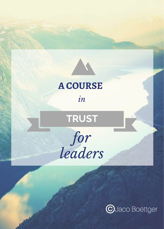

### **A COURSE**

*in*

**TRUST**

*for leaders*

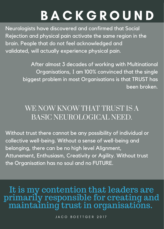### **BACKGROUND**

Neurologists have discovered and confirmed that Social Rejection and physical pain activate the same region in the brain. People that do not feel acknowledged and validated, will actually experience physical pain.

> After almost 3 decades of working with Multinational Organisations, I am 100% convinced that the single biggest problem in most Organisations is that TRUST has been broken.

#### WE NOW KNOW THAT TRUST IS A BASIC NEUROLOGICAL NEED.

Without trust there cannot be any possibility of individual or collective well-being. Without a sense of well-being and belonging, there can be no high level Alignment, Attunement, Enthusiasm, Creativity or Agility. Without trust the Organisation has no soul and no FUTURE.

It is my contention that leaders are primarily responsible for creating and maintaining trust in organisations.

JACO BOETTGER 2017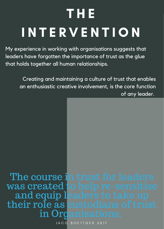# T H E I N T E R V E N T I O N

My experience in working with organisations suggests that leaders have forgotten the importance of trust as the glue that holds together all human relationships.

Creating and maintaining a culture of trust that enables an enthusiastic creative involvement, is the core function of any leader.

The course in trust for leaders was created to help re-sensitise and equip leaders to take up their role as custodians of trust in Organisations.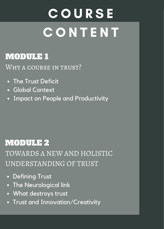## **COURSE CONTENT**

#### MODULE 1

WHY A COURSE IN TRUST?

- The Trust Deficit
- Global Context
- Impact on People and Productivity

#### MODULE 2

TOWARDS A NEW AND HOLISTIC UNDERSTANDING OF TRUST

- Defining Trust
- The Neurological link
- What destroys trust
- Trust and Innovation/Creativity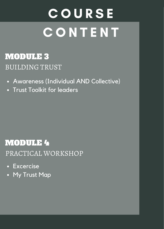### **COURSE CONTENT**

#### BUILDING TRUST MODULE 3

- Awareness (Individual AND Collective)
- Trust Toolkit for leaders

#### MODULE 4

PRACTICAL WORKSHOP

- Excercise
- My Trust Map